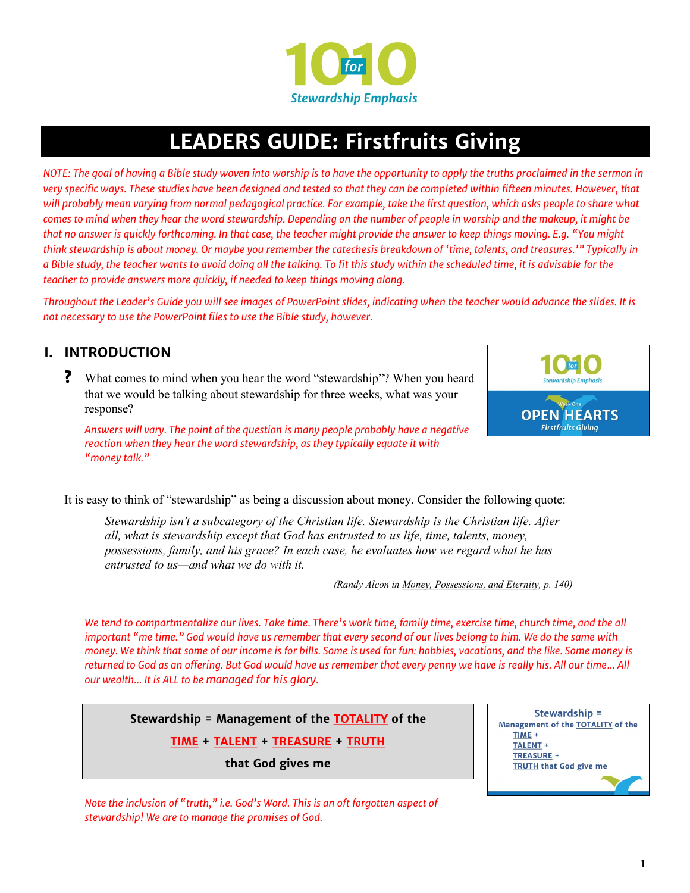

# **LEADERS GUIDE: Firstfruits Giving**

*NOTE: The goal of having a Bible study woven into worship is to have the opportunity to apply the truths proclaimed in the sermon in very specific ways. These studies have been designed and tested so that they can be completed within fifteen minutes. However, that will probably mean varying from normal pedagogical practice. For example, take the first question, which asks people to share what comes to mind when they hear the word stewardship. Depending on the number of people in worship and the makeup, it might be that no answer is quickly forthcoming. In that case, the teacher might provide the answer to keep things moving. E.g. "You might think stewardship is about money. Or maybe you remember the catechesis breakdown of 'time, talents, and treasures.'" Typically in a Bible study, the teacher wants to avoid doing all the talking. To fit this study within the scheduled time, it is advisable for the teacher to provide answers more quickly, if needed to keep things moving along.*

*Throughout the Leader's Guide you will see images of PowerPoint slides, indicating when the teacher would advance the slides. It is not necessary to use the PowerPoint files to use the Bible study, however.*

## **I. INTRODUCTION**

**?** What comes to mind when you hear the word "stewardship"? When you heard that we would be talking about stewardship for three weeks, what was your response?

*Answers will vary. The point of the question is many people probably have a negative reaction when they hear the word stewardship, as they typically equate it with "money talk."*



It is easy to think of "stewardship" as being a discussion about money. Consider the following quote:

*Stewardship isn't a subcategory of the Christian life. Stewardship is the Christian life. After all, what is stewardship except that God has entrusted to us life, time, talents, money, possessions, family, and his grace? In each case, he evaluates how we regard what he has entrusted to us—and what we do with it.*

*(Randy Alcon in Money, Possessions, and Eternity, p. 140)*

*We tend to compartmentalize our lives. Take time. There's work time, family time, exercise time, church time, and the all important "me time." God would have us remember that every second of our lives belong to him. We do the same with money. We think that some of our income is for bills. Some is used for fun: hobbies, vacations, and the like. Some money is returned to God as an offering. But God would have us remember that every penny we have is really his. All our time… All our wealth… It is ALL to be managed for his glory.*

**Stewardship = Management of the TOTALITY of the** 

**TIME + TALENT + TREASURE + TRUTH**

**that God gives me**



*Note the inclusion of "truth," i.e. God's Word. This is an oft forgotten aspect of stewardship! We are to manage the promises of God.*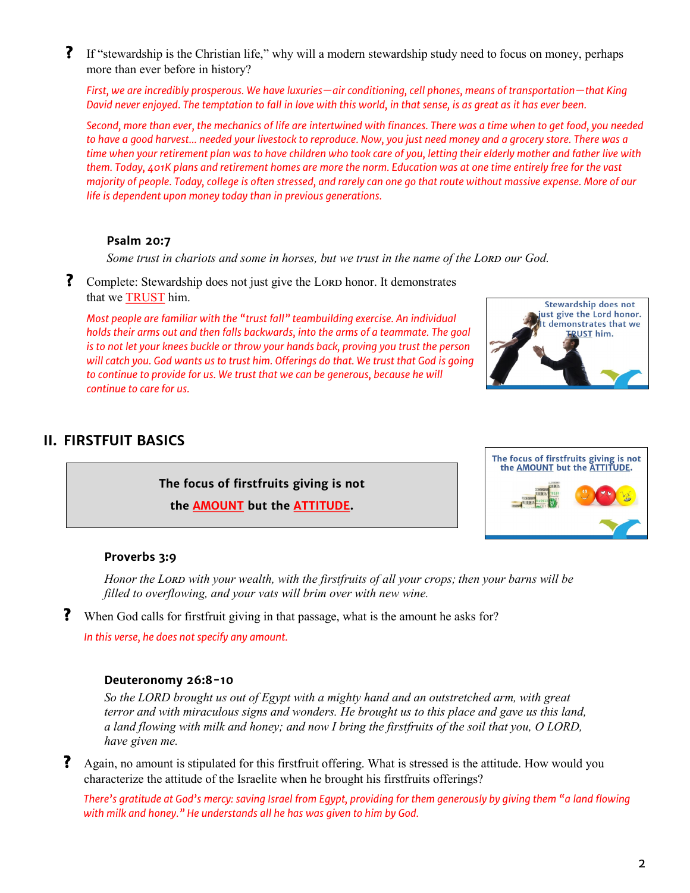**?** If "stewardship is the Christian life," why will a modern stewardship study need to focus on money, perhaps more than ever before in history?

*First, we are incredibly prosperous. We have luxuries—air conditioning, cell phones, means of transportation—that King David never enjoyed. The temptation to fall in love with this world, in that sense, is as great as it has ever been.*

*Second, more than ever, the mechanics of life are intertwined with finances. There was a time when to get food, you needed to have a good harvest… needed your livestock to reproduce. Now, you just need money and a grocery store. There was a time when your retirement plan was to have children who took care of you, letting their elderly mother and father live with them. Today, 401K plans and retirement homes are more the norm. Education was at one time entirely free for the vast majority of people. Today, college is often stressed, and rarely can one go that route without massive expense. More of our life is dependent upon money today than in previous generations.*

#### **Psalm 20:7**

Some trust in chariots and some in horses, but we trust in the name of the Loral our God.

? Complete: Stewardship does not just give the LORD honor. It demonstrates that we TRUST him.

*Most people are familiar with the "trust fall" teambuilding exercise. An individual holds their arms out and then falls backwards, into the arms of a teammate. The goal is to not let your knees buckle or throw your hands back, proving you trust the person will catch you. God wants us to trust him. Offerings do that. We trust that God is going to continue to provide for us. We trust that we can be generous, because he will continue to care for us.*



# **II. FIRSTFUIT BASICS**

**The focus of firstfruits giving is not the AMOUNT but the ATTITUDE.**



## **Proverbs 3:9**

*Honor the Lord with your wealth, with the firstfruits of all your crops; then your barns will be filled to overflowing, and your vats will brim over with new wine.*

**?** When God calls for firstfruit giving in that passage, what is the amount he asks for?

*In this verse, he does not specify any amount.*

#### **Deuteronomy 26:8-10**

*So the LORD brought us out of Egypt with a mighty hand and an outstretched arm, with great terror and with miraculous signs and wonders. He brought us to this place and gave us this land, a land flowing with milk and honey; and now I bring the firstfruits of the soil that you, O LORD, have given me.*

**?** Again, no amount is stipulated for this firstfruit offering. What is stressed is the attitude. How would you characterize the attitude of the Israelite when he brought his firstfruits offerings?

*There's gratitude at God's mercy: saving Israel from Egypt, providing for them generously by giving them "a land flowing with milk and honey." He understands all he has was given to him by God.*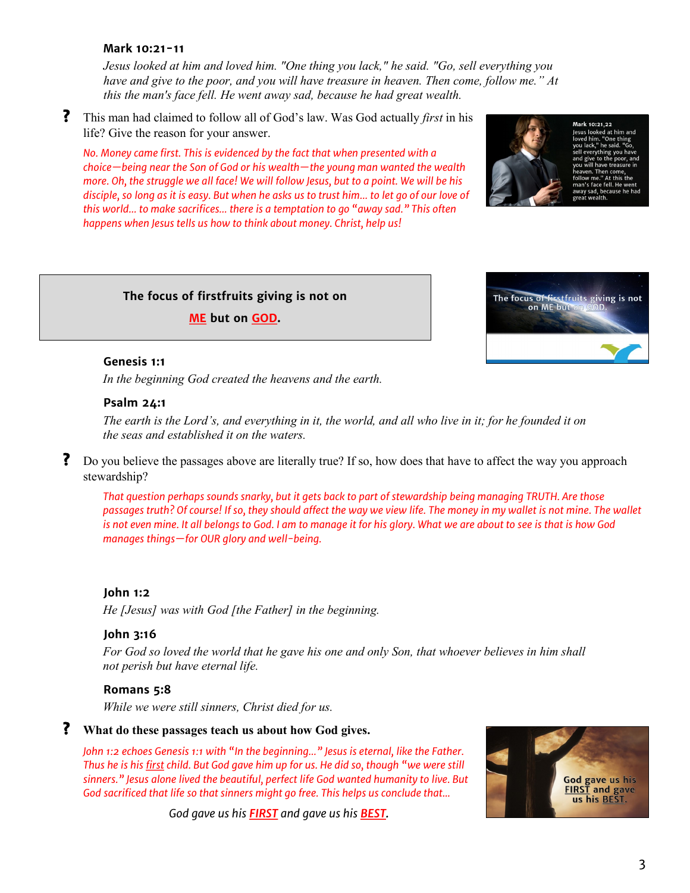#### **Mark 10:21-11**

*Jesus looked at him and loved him. "One thing you lack," he said. "Go, sell everything you have and give to the poor, and you will have treasure in heaven. Then come, follow me." At this the man's face fell. He went away sad, because he had great wealth.*

**?** This man had claimed to follow all of God's law. Was God actually *first* in his life? Give the reason for your answer.

*No. Money came first. This is evidenced by the fact that when presented with a choice—being near the Son of God or his wealth—the young man wanted the wealth more. Oh, the struggle we all face! We will follow Jesus, but to a point. We will be his disciple, so long as it is easy. But when he asks us to trust him… to let go of our love of this world… to make sacrifices… there is a temptation to go "away sad." This often happens when Jesus tells us how to think about money. Christ, help us!*





## **Genesis 1:1**

*In the beginning God created the heavens and the earth.*

**The focus of firstfruits giving is not on ME but on GOD.**

#### **Psalm 24:1**

*The earth is the Lord's, and everything in it, the world, and all who live in it; for he founded it on the seas and established it on the waters.*

**?** Do you believe the passages above are literally true? If so, how does that have to affect the way you approach stewardship?

*That question perhaps sounds snarky, but it gets back to part of stewardship being managing TRUTH. Are those passages truth? Of course! If so, they should affect the way we view life. The money in my wallet is not mine. The wallet is not even mine. It all belongs to God. I am to manage it for his glory. What we are about to see is that is how God manages things—for OUR glory and well-being.*

#### **John 1:2**

*He [Jesus] was with God [the Father] in the beginning.*

#### **John 3:16**

*For God so loved the world that he gave his one and only Son, that whoever believes in him shall not perish but have eternal life.*

#### **Romans 5:8**

*While we were still sinners, Christ died for us.*

## **? What do these passages teach us about how God gives.**

*John 1:2 echoes Genesis 1:1 with "In the beginning…" Jesus is eternal, like the Father. Thus he is his first child. But God gave him up for us. He did so, though "we were still sinners." Jesus alone lived the beautiful, perfect life God wanted humanity to live. But God sacrificed that life so that sinners might go free. This helps us conclude that...*

*God gave us his FIRST and gave us his BEST.*